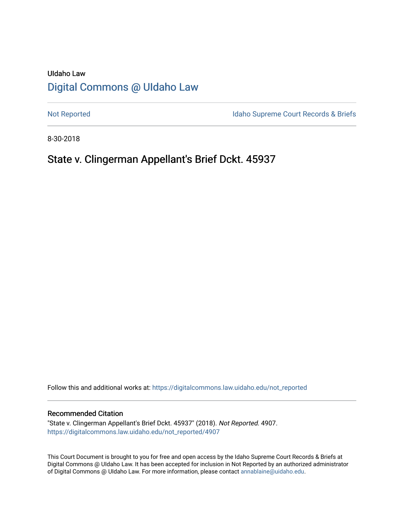# UIdaho Law [Digital Commons @ UIdaho Law](https://digitalcommons.law.uidaho.edu/)

[Not Reported](https://digitalcommons.law.uidaho.edu/not_reported) **Idaho Supreme Court Records & Briefs** 

8-30-2018

# State v. Clingerman Appellant's Brief Dckt. 45937

Follow this and additional works at: [https://digitalcommons.law.uidaho.edu/not\\_reported](https://digitalcommons.law.uidaho.edu/not_reported?utm_source=digitalcommons.law.uidaho.edu%2Fnot_reported%2F4907&utm_medium=PDF&utm_campaign=PDFCoverPages) 

#### Recommended Citation

"State v. Clingerman Appellant's Brief Dckt. 45937" (2018). Not Reported. 4907. [https://digitalcommons.law.uidaho.edu/not\\_reported/4907](https://digitalcommons.law.uidaho.edu/not_reported/4907?utm_source=digitalcommons.law.uidaho.edu%2Fnot_reported%2F4907&utm_medium=PDF&utm_campaign=PDFCoverPages)

This Court Document is brought to you for free and open access by the Idaho Supreme Court Records & Briefs at Digital Commons @ UIdaho Law. It has been accepted for inclusion in Not Reported by an authorized administrator of Digital Commons @ UIdaho Law. For more information, please contact [annablaine@uidaho.edu](mailto:annablaine@uidaho.edu).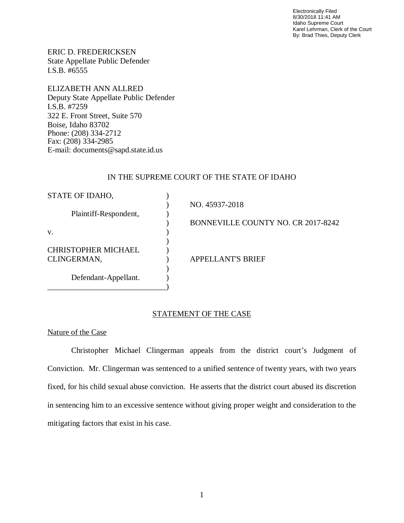Electronically Filed 8/30/2018 11:41 AM Idaho Supreme Court Karel Lehrman, Clerk of the Court By: Brad Thies, Deputy Clerk

ERIC D. FREDERICKSEN State Appellate Public Defender I.S.B. #6555

ELIZABETH ANN ALLRED Deputy State Appellate Public Defender I.S.B. #7259 322 E. Front Street, Suite 570 Boise, Idaho 83702 Phone: (208) 334-2712 Fax: (208) 334-2985 E-mail: documents@sapd.state.id.us

### IN THE SUPREME COURT OF THE STATE OF IDAHO

| STATE OF IDAHO,            |                                    |
|----------------------------|------------------------------------|
|                            | NO. 45937-2018                     |
| Plaintiff-Respondent,      |                                    |
|                            | BONNEVILLE COUNTY NO. CR 2017-8242 |
| V.                         |                                    |
|                            |                                    |
| <b>CHRISTOPHER MICHAEL</b> |                                    |
| CLINGERMAN,                | <b>APPELLANT'S BRIEF</b>           |
|                            |                                    |
| Defendant-Appellant.       |                                    |
|                            |                                    |

### STATEMENT OF THE CASE

### Nature of the Case

Christopher Michael Clingerman appeals from the district court's Judgment of Conviction. Mr. Clingerman was sentenced to a unified sentence of twenty years, with two years fixed, for his child sexual abuse conviction. He asserts that the district court abused its discretion in sentencing him to an excessive sentence without giving proper weight and consideration to the mitigating factors that exist in his case.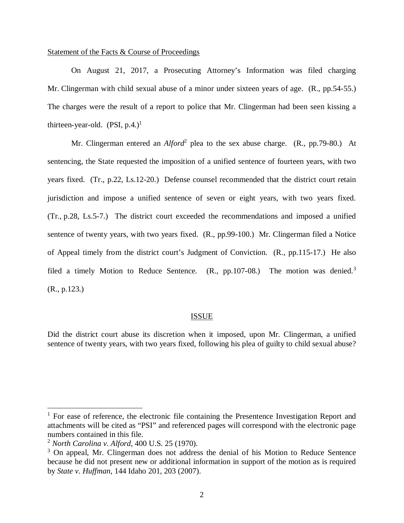### Statement of the Facts & Course of Proceedings

On August 21, 2017, a Prosecuting Attorney's Information was filed charging Mr. Clingerman with child sexual abuse of a minor under sixteen years of age. (R., pp. 54-55.) The charges were the result of a report to police that Mr. Clingerman had been seen kissing a thirteen-year-old.  $(PSI, p.4.)<sup>1</sup>$  $(PSI, p.4.)<sup>1</sup>$  $(PSI, p.4.)<sup>1</sup>$ 

Mr. Clingerman entered an *Alford*<sup>[2](#page-2-1)</sup> plea to the sex abuse charge. (R., pp.79-80.) At sentencing, the State requested the imposition of a unified sentence of fourteen years, with two years fixed. (Tr., p.22, Ls.12-20.) Defense counsel recommended that the district court retain jurisdiction and impose a unified sentence of seven or eight years, with two years fixed. (Tr., p.28, Ls.5-7.) The district court exceeded the recommendations and imposed a unified sentence of twenty years, with two years fixed. (R., pp.99-100.) Mr. Clingerman filed a Notice of Appeal timely from the district court's Judgment of Conviction. (R., pp.115-17.) He also filed a timely Motion to Reduce Sentence. (R., pp.107-08.) The motion was denied.<sup>[3](#page-2-2)</sup> (R., p.123.)

#### ISSUE

Did the district court abuse its discretion when it imposed, upon Mr. Clingerman, a unified sentence of twenty years, with two years fixed, following his plea of guilty to child sexual abuse?

<span id="page-2-0"></span> $1$  For ease of reference, the electronic file containing the Presentence Investigation Report and attachments will be cited as "PSI" and referenced pages will correspond with the electronic page numbers contained in this file.

<span id="page-2-1"></span><sup>2</sup> *North Carolina v*. *Alford*, 400 U.S. 25 (1970).

<span id="page-2-2"></span><sup>&</sup>lt;sup>3</sup> On appeal, Mr. Clingerman does not address the denial of his Motion to Reduce Sentence because he did not present new or additional information in support of the motion as is required by *State v. Huffman*, 144 Idaho 201, 203 (2007).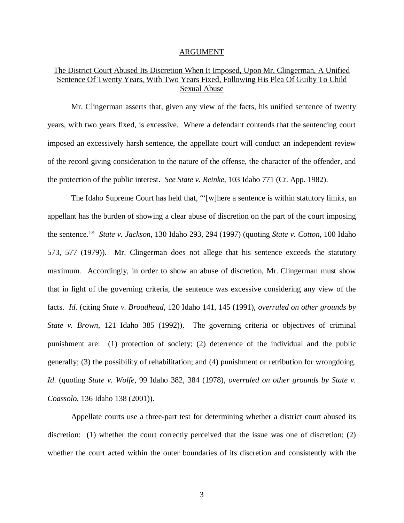#### ARGUMENT

## The District Court Abused Its Discretion When It Imposed, Upon Mr. Clingerman, A Unified Sentence Of Twenty Years, With Two Years Fixed, Following His Plea Of Guilty To Child Sexual Abuse

Mr. Clingerman asserts that, given any view of the facts, his unified sentence of twenty years, with two years fixed, is excessive. Where a defendant contends that the sentencing court imposed an excessively harsh sentence, the appellate court will conduct an independent review of the record giving consideration to the nature of the offense, the character of the offender, and the protection of the public interest. *See State v. Reinke*, 103 Idaho 771 (Ct. App. 1982).

The Idaho Supreme Court has held that, "'[w]here a sentence is within statutory limits, an appellant has the burden of showing a clear abuse of discretion on the part of the court imposing the sentence.'" *State v. Jackson*, 130 Idaho 293, 294 (1997) (quoting *State v. Cotton*, 100 Idaho 573, 577 (1979)). Mr. Clingerman does not allege that his sentence exceeds the statutory maximum. Accordingly, in order to show an abuse of discretion, Mr. Clingerman must show that in light of the governing criteria, the sentence was excessive considering any view of the facts. *Id*. (citing *State v. Broadhead*, 120 Idaho 141, 145 (1991), *overruled on other grounds by State v. Brown*, 121 Idaho 385 (1992)). The governing criteria or objectives of criminal punishment are: (1) protection of society; (2) deterrence of the individual and the public generally; (3) the possibility of rehabilitation; and (4) punishment or retribution for wrongdoing. *Id*. (quoting *State v. Wolfe*, 99 Idaho 382, 384 (1978), *overruled on other grounds by State v. Coassolo,* 136 Idaho 138 (2001)).

Appellate courts use a three-part test for determining whether a district court abused its discretion: (1) whether the court correctly perceived that the issue was one of discretion; (2) whether the court acted within the outer boundaries of its discretion and consistently with the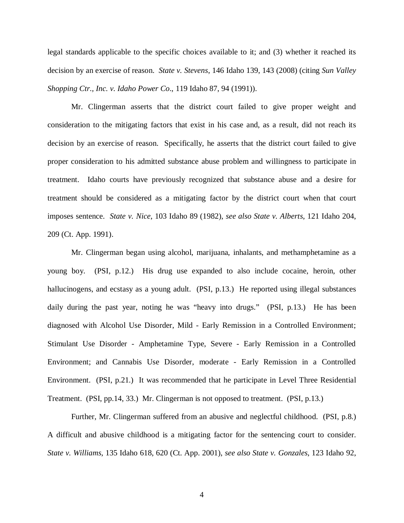legal standards applicable to the specific choices available to it; and (3) whether it reached its decision by an exercise of reason. *State v. Stevens*, 146 Idaho 139, 143 (2008) (citing *[Sun Valley](https://a.next.westlaw.com/Link/Document/FullText?findType=Y&serNum=1991020453&pubNum=661&originatingDoc=Ib1fc665a58e011ddbc7bf97f340af743&refType=RP&fi=co_pp_sp_661_1000&originationContext=document&transitionType=DocumentItem&contextData=(sc.Folder*cid.e4ef799cd44b4f4184ec493464b042f9*oc.Search)#co_pp_sp_661_1000) [Shopping Ctr., Inc. v. Idaho Power Co](https://a.next.westlaw.com/Link/Document/FullText?findType=Y&serNum=1991020453&pubNum=661&originatingDoc=Ib1fc665a58e011ddbc7bf97f340af743&refType=RP&fi=co_pp_sp_661_1000&originationContext=document&transitionType=DocumentItem&contextData=(sc.Folder*cid.e4ef799cd44b4f4184ec493464b042f9*oc.Search)#co_pp_sp_661_1000)*., 119 Idaho 87, 94 (1991)).

Mr. Clingerman asserts that the district court failed to give proper weight and consideration to the mitigating factors that exist in his case and, as a result, did not reach its decision by an exercise of reason. Specifically, he asserts that the district court failed to give proper consideration to his admitted substance abuse problem and willingness to participate in treatment. Idaho courts have previously recognized that substance abuse and a desire for treatment should be considered as a mitigating factor by the district court when that court imposes sentence. *State v. Nice*, 103 Idaho 89 (1982), *see also State v. Alberts*, 121 Idaho 204, 209 (Ct. App. 1991).

Mr. Clingerman began using alcohol, marijuana, inhalants, and methamphetamine as a young boy. (PSI, p.12.) His drug use expanded to also include cocaine, heroin, other hallucinogens, and ecstasy as a young adult. (PSI, p.13.) He reported using illegal substances daily during the past year, noting he was "heavy into drugs." (PSI, p.13.) He has been diagnosed with Alcohol Use Disorder, Mild - Early Remission in a Controlled Environment; Stimulant Use Disorder - Amphetamine Type, Severe - Early Remission in a Controlled Environment; and Cannabis Use Disorder, moderate - Early Remission in a Controlled Environment. (PSI, p.21.) It was recommended that he participate in Level Three Residential Treatment. (PSI, pp.14, 33.) Mr. Clingerman is not opposed to treatment. (PSI, p.13.)

Further, Mr. Clingerman suffered from an abusive and neglectful childhood. (PSI, p.8.) A difficult and abusive childhood is a mitigating factor for the sentencing court to consider. *State v. Williams*, 135 Idaho 618, 620 (Ct. App. 2001), *see also State v. Gonzales*, 123 Idaho 92,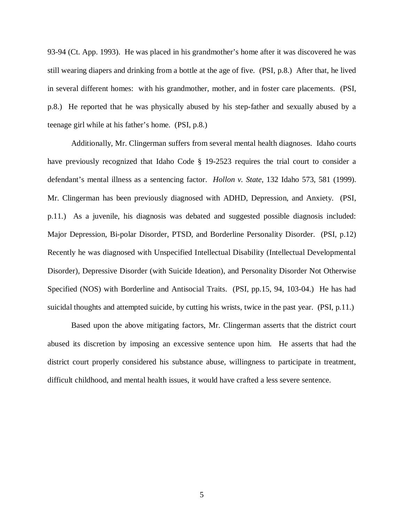93-94 (Ct. App. 1993). He was placed in his grandmother's home after it was discovered he was still wearing diapers and drinking from a bottle at the age of five. (PSI, p.8.) After that, he lived in several different homes: with his grandmother, mother, and in foster care placements. (PSI, p.8.) He reported that he was physically abused by his step-father and sexually abused by a teenage girl while at his father's home. (PSI, p.8.)

Additionally, Mr. Clingerman suffers from several mental health diagnoses. Idaho courts have previously recognized that Idaho Code § 19-2523 requires the trial court to consider a defendant's mental illness as a sentencing factor. *Hollon v. State*, 132 Idaho 573, 581 (1999). Mr. Clingerman has been previously diagnosed with ADHD, Depression, and Anxiety. (PSI, p.11.) As a juvenile, his diagnosis was debated and suggested possible diagnosis included: Major Depression, Bi-polar Disorder, PTSD, and Borderline Personality Disorder. (PSI, p.12) Recently he was diagnosed with Unspecified Intellectual Disability (Intellectual Developmental Disorder), Depressive Disorder (with Suicide Ideation), and Personality Disorder Not Otherwise Specified (NOS) with Borderline and Antisocial Traits. (PSI, pp.15, 94, 103-04.) He has had suicidal thoughts and attempted suicide, by cutting his wrists, twice in the past year. (PSI, p.11.)

Based upon the above mitigating factors, Mr. Clingerman asserts that the district court abused its discretion by imposing an excessive sentence upon him. He asserts that had the district court properly considered his substance abuse, willingness to participate in treatment, difficult childhood, and mental health issues, it would have crafted a less severe sentence.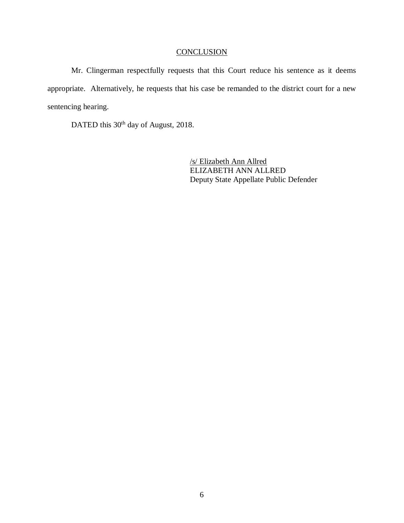# **CONCLUSION**

Mr. Clingerman respectfully requests that this Court reduce his sentence as it deems appropriate. Alternatively, he requests that his case be remanded to the district court for a new sentencing hearing.

DATED this 30<sup>th</sup> day of August, 2018.

/s/ Elizabeth Ann Allred ELIZABETH ANN ALLRED Deputy State Appellate Public Defender